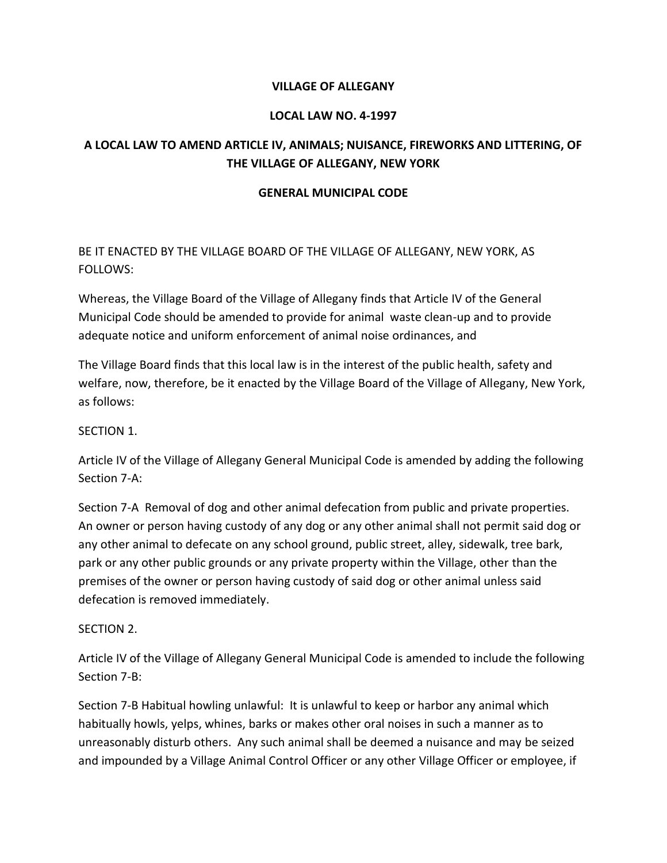#### **VILLAGE OF ALLEGANY**

## **LOCAL LAW NO. 4-1997**

# **A LOCAL LAW TO AMEND ARTICLE IV, ANIMALS; NUISANCE, FIREWORKS AND LITTERING, OF THE VILLAGE OF ALLEGANY, NEW YORK**

#### **GENERAL MUNICIPAL CODE**

BE IT ENACTED BY THE VILLAGE BOARD OF THE VILLAGE OF ALLEGANY, NEW YORK, AS FOLLOWS:

Whereas, the Village Board of the Village of Allegany finds that Article IV of the General Municipal Code should be amended to provide for animal waste clean-up and to provide adequate notice and uniform enforcement of animal noise ordinances, and

The Village Board finds that this local law is in the interest of the public health, safety and welfare, now, therefore, be it enacted by the Village Board of the Village of Allegany, New York, as follows:

## SECTION 1.

Article IV of the Village of Allegany General Municipal Code is amended by adding the following Section 7-A:

Section 7-A Removal of dog and other animal defecation from public and private properties. An owner or person having custody of any dog or any other animal shall not permit said dog or any other animal to defecate on any school ground, public street, alley, sidewalk, tree bark, park or any other public grounds or any private property within the Village, other than the premises of the owner or person having custody of said dog or other animal unless said defecation is removed immediately.

#### SECTION 2.

Article IV of the Village of Allegany General Municipal Code is amended to include the following Section 7-B:

Section 7-B Habitual howling unlawful: It is unlawful to keep or harbor any animal which habitually howls, yelps, whines, barks or makes other oral noises in such a manner as to unreasonably disturb others. Any such animal shall be deemed a nuisance and may be seized and impounded by a Village Animal Control Officer or any other Village Officer or employee, if